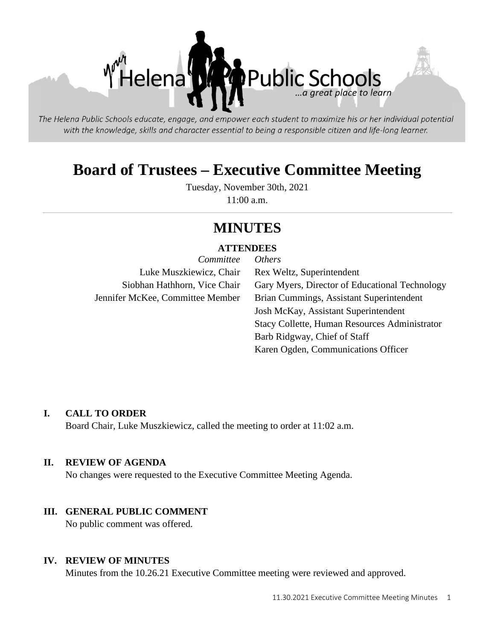

The Helena Public Schools educate, engage, and empower each student to maximize his or her individual potential with the knowledge, skills and character essential to being a responsible citizen and life-long learner.

# **Board of Trustees – Executive Committee Meeting**

Tuesday, November 30th, 2021 11:00 a.m.

# **MINUTES**

#### **ATTENDEES**

| Committee                        | <i>Others</i>                                  |
|----------------------------------|------------------------------------------------|
| Luke Muszkiewicz, Chair          | Rex Weltz, Superintendent                      |
| Siobhan Hathhorn, Vice Chair     | Gary Myers, Director of Educational Technology |
| Jennifer McKee, Committee Member | Brian Cummings, Assistant Superintendent       |
|                                  | Josh McKay, Assistant Superintendent           |
|                                  | Stacy Collette, Human Resources Administrator  |
|                                  | Barb Ridgway, Chief of Staff                   |
|                                  | Karen Ogden, Communications Officer            |

#### **I. CALL TO ORDER**

Board Chair, Luke Muszkiewicz, called the meeting to order at 11:02 a.m.

#### **II. REVIEW OF AGENDA**

No changes were requested to the Executive Committee Meeting Agenda.

#### **III. GENERAL PUBLIC COMMENT**

No public comment was offered.

#### **IV. REVIEW OF MINUTES**

Minutes from the 10.26.21 Executive Committee meeting were reviewed and approved.